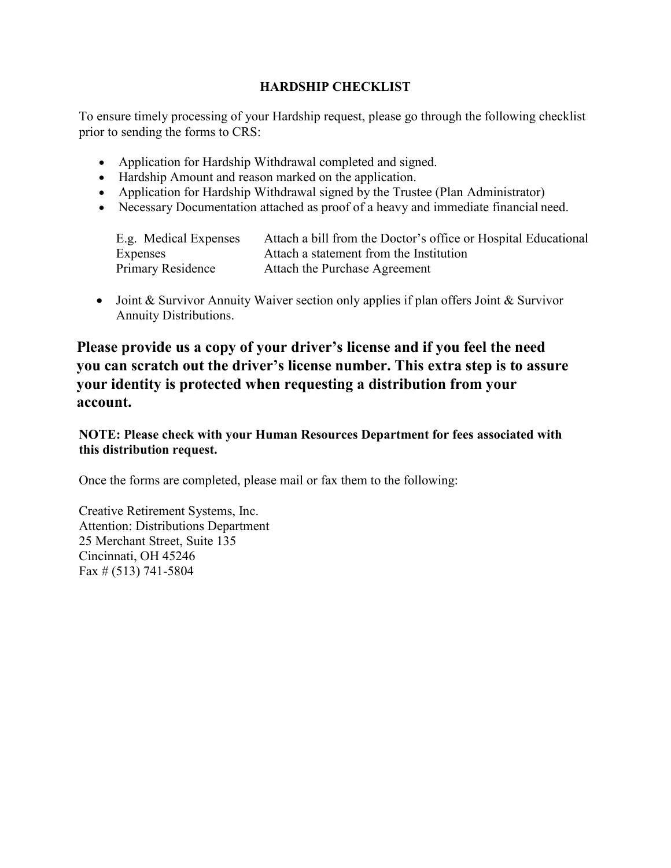#### **HARDSHIP CHECKLIST**

To ensure timely processing of your Hardship request, please go through the following checklist prior to sending the forms to CRS:

- Application for Hardship Withdrawal completed and signed.
- Hardship Amount and reason marked on the application.
- Application for Hardship Withdrawal signed by the Trustee (Plan Administrator)
- Necessary Documentation attached as proof of a heavy and immediate financial need.

| E.g. Medical Expenses    | Attach a bill from the Doctor's office or Hospital Educational |
|--------------------------|----------------------------------------------------------------|
| Expenses                 | Attach a statement from the Institution                        |
| <b>Primary Residence</b> | Attach the Purchase Agreement                                  |

• Joint & Survivor Annuity Waiver section only applies if plan offers Joint & Survivor Annuity Distributions.

**Please provide us a copy of your driver's license and if you feel the need you can scratch out the driver's license number. This extra step is to assure your identity is protected when requesting a distribution from your account.**

**NOTE: Please check with your Human Resources Department for fees associated with this distribution request.**

Once the forms are completed, please mail or fax them to the following:

Creative Retirement Systems, Inc. Attention: Distributions Department 25 Merchant Street, Suite 135 Cincinnati, OH 45246 Fax  $\#$  (513) 741-5804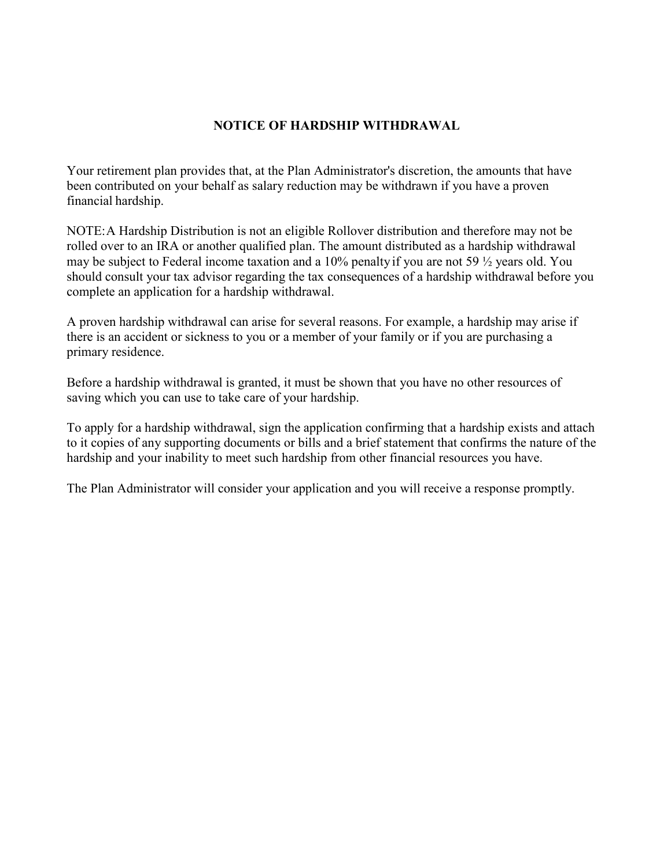#### **NOTICE OF HARDSHIP WITHDRAWAL**

Your retirement plan provides that, at the Plan Administrator's discretion, the amounts that have been contributed on your behalf as salary reduction may be withdrawn if you have a proven financial hardship.

NOTE:A Hardship Distribution is not an eligible Rollover distribution and therefore may not be rolled over to an IRA or another qualified plan. The amount distributed as a hardship withdrawal may be subject to Federal income taxation and a 10% penalty if you are not 59  $\frac{1}{2}$  years old. You should consult your tax advisor regarding the tax consequences of a hardship withdrawal before you complete an application for a hardship withdrawal.

A proven hardship withdrawal can arise for several reasons. For example, a hardship may arise if there is an accident or sickness to you or a member of your family or if you are purchasing a primary residence.

Before a hardship withdrawal is granted, it must be shown that you have no other resources of saving which you can use to take care of your hardship.

To apply for a hardship withdrawal, sign the application confirming that a hardship exists and attach to it copies of any supporting documents or bills and a brief statement that confirms the nature of the hardship and your inability to meet such hardship from other financial resources you have.

The Plan Administrator will consider your application and you will receive a response promptly.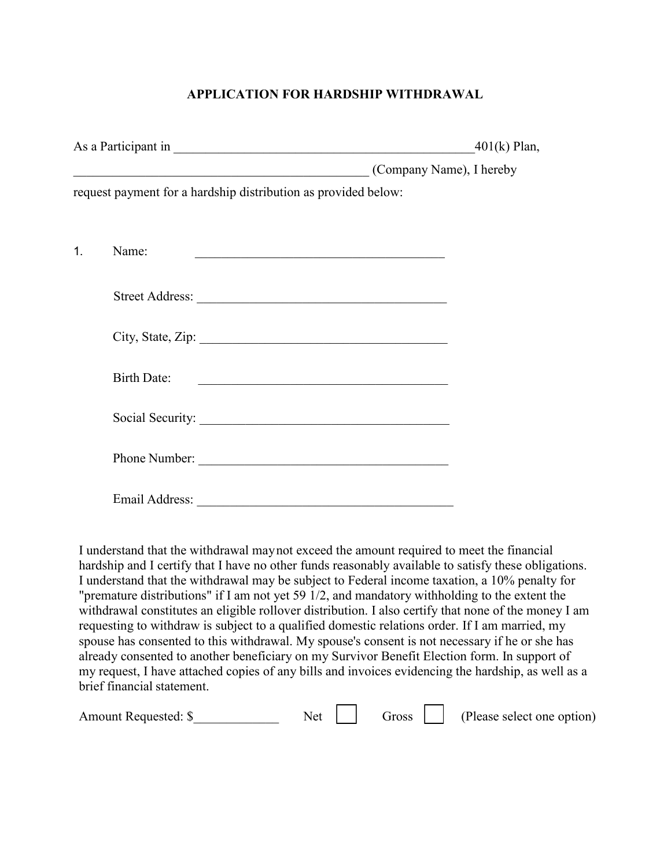## **APPLICATION FOR HARDSHIP WITHDRAWAL**

|                |                                                                                                                       | $401(k)$ Plan,           |
|----------------|-----------------------------------------------------------------------------------------------------------------------|--------------------------|
|                | <u> 1989 - Johann John Stoff, deutscher Stoffen und der Stoffen und der Stoffen und der Stoffen und der Stoffen u</u> | (Company Name), I hereby |
|                | request payment for a hardship distribution as provided below:                                                        |                          |
|                |                                                                                                                       |                          |
| $\mathbf{1}$ . | Name:                                                                                                                 |                          |
|                | Street Address:                                                                                                       |                          |
|                | City, State, Zip:                                                                                                     |                          |
|                | Birth Date:                                                                                                           |                          |
|                | Social Security:                                                                                                      |                          |
|                | Phone Number:                                                                                                         |                          |
|                | Email Address:                                                                                                        |                          |

I understand that the withdrawal maynot exceed the amount required to meet the financial hardship and I certify that I have no other funds reasonably available to satisfy these obligations. I understand that the withdrawal may be subject to Federal income taxation, a 10% penalty for "premature distributions" if I am not yet 59 1/2, and mandatory withholding to the extent the withdrawal constitutes an eligible rollover distribution. I also certify that none of the money I am requesting to withdraw is subject to a qualified domestic relations order. If I am married, my spouse has consented to this withdrawal. My spouse's consent is not necessary if he or she has already consented to another beneficiary on my Survivor Benefit Election form. In support of my request, I have attached copies of any bills and invoices evidencing the hardship, as well as a brief financial statement.

| Amount Requested: \$ | Net | Gross $\vert$ | (Please select one option) |
|----------------------|-----|---------------|----------------------------|
|                      |     |               |                            |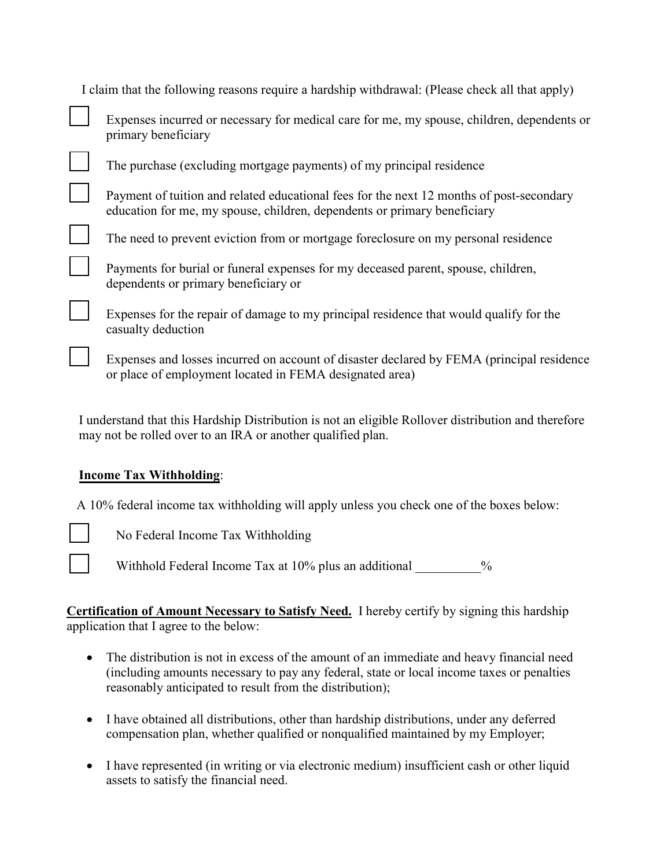| I claim that the following reasons require a hardship withdrawal: (Please check all that apply)                                                                      |
|----------------------------------------------------------------------------------------------------------------------------------------------------------------------|
| Expenses incurred or necessary for medical care for me, my spouse, children, dependents or<br>primary beneficiary                                                    |
| The purchase (excluding mortgage payments) of my principal residence                                                                                                 |
| Payment of tuition and related educational fees for the next 12 months of post-secondary<br>education for me, my spouse, children, dependents or primary beneficiary |
| The need to prevent eviction from or mortgage foreclosure on my personal residence                                                                                   |
| Payments for burial or funeral expenses for my deceased parent, spouse, children,<br>dependents or primary beneficiary or                                            |
| Expenses for the repair of damage to my principal residence that would qualify for the<br>casualty deduction                                                         |
| Expenses and losses incurred on account of disaster declared by FEMA (principal residence                                                                            |

I understand that this Hardship Distribution is not an eligible Rollover distribution and therefore may not be rolled over to an IRA or another qualified plan.

or place of employment located in FEMA designated area)

## **Income Tax Withholding**:

A 10% federal income tax withholding will apply unless you check one of the boxes below:

No Federal Income Tax Withholding

Withhold Federal Income Tax at 10% plus an additional  $\%$ 

**Certification of Amount Necessary to Satisfy Need.** I hereby certify by signing this hardship application that I agree to the below:

- The distribution is not in excess of the amount of an immediate and heavy financial need (including amounts necessary to pay any federal, state or local income taxes or penalties reasonably anticipated to result from the distribution);
- I have obtained all distributions, other than hardship distributions, under any deferred compensation plan, whether qualified or nonqualified maintained by my Employer;
- I have represented (in writing or via electronic medium) insufficient cash or other liquid assets to satisfy the financial need.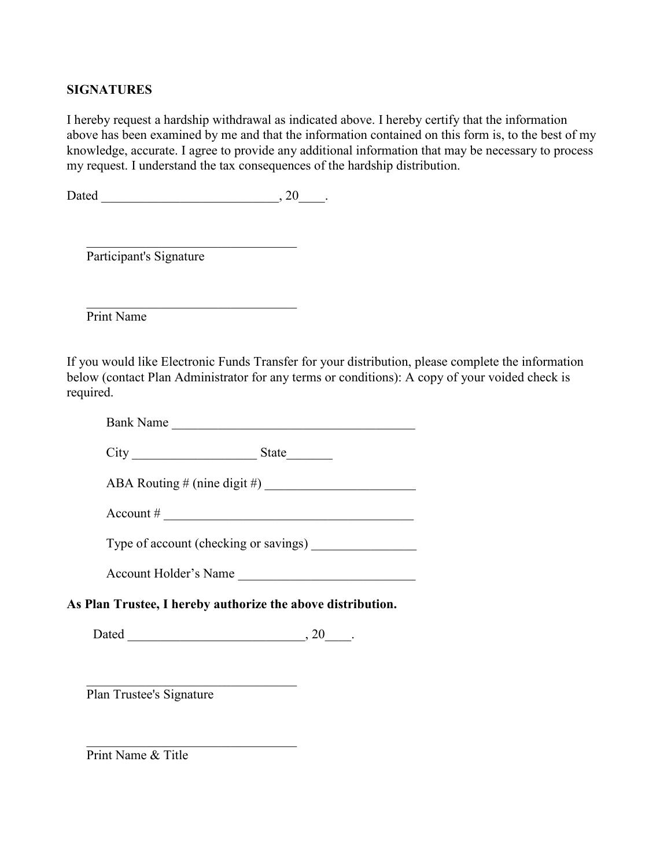## **SIGNATURES**

I hereby request a hardship withdrawal as indicated above. I hereby certify that the information above has been examined by me and that the information contained on this form is, to the best of my knowledge, accurate. I agree to provide any additional information that may be necessary to process my request. I understand the tax consequences of the hardship distribution.

Dated \_\_\_\_\_\_\_\_\_\_\_\_\_\_\_\_\_\_\_\_\_\_\_\_\_\_\_, 20\_\_\_\_.

\_\_\_\_\_\_\_\_\_\_\_\_\_\_\_\_\_\_\_\_\_\_\_\_\_\_\_\_\_\_\_\_

Participant's Signature

 \_\_\_\_\_\_\_\_\_\_\_\_\_\_\_\_\_\_\_\_\_\_\_\_\_\_\_\_\_\_\_\_ Print Name

If you would like Electronic Funds Transfer for your distribution, please complete the information below (contact Plan Administrator for any terms or conditions): A copy of your voided check is required.

| Bank<br>Nа<br>ame |  |
|-------------------|--|
|                   |  |

City \_\_\_\_\_\_\_\_\_\_\_\_\_\_\_\_\_\_\_ State\_\_\_\_\_\_\_

ABA Routing  $\#$  (nine digit  $\#$ )

Account  $\#$ 

Type of account (checking or savings)

Account Holder's Name \_\_\_\_\_\_\_\_\_\_\_\_\_\_\_\_\_\_\_\_\_\_\_\_\_\_\_

**As Plan Trustee, I hereby authorize the above distribution.**

Dated  $\qquad \qquad \, . \qquad \qquad .$ 

 \_\_\_\_\_\_\_\_\_\_\_\_\_\_\_\_\_\_\_\_\_\_\_\_\_\_\_\_\_\_\_\_ Plan Trustee's Signature

Print Name & Title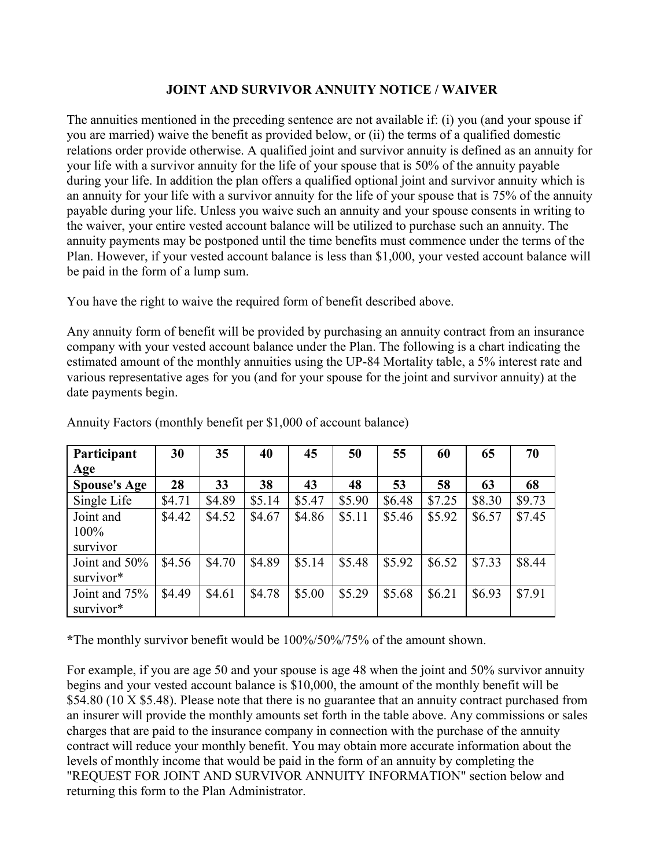#### **JOINT AND SURVIVOR ANNUITY NOTICE / WAIVER**

The annuities mentioned in the preceding sentence are not available if: (i) you (and your spouse if you are married) waive the benefit as provided below, or (ii) the terms of a qualified domestic relations order provide otherwise. A qualified joint and survivor annuity is defined as an annuity for your life with a survivor annuity for the life of your spouse that is 50% of the annuity payable during your life. In addition the plan offers a qualified optional joint and survivor annuity which is an annuity for your life with a survivor annuity for the life of your spouse that is 75% of the annuity payable during your life. Unless you waive such an annuity and your spouse consents in writing to the waiver, your entire vested account balance will be utilized to purchase such an annuity. The annuity payments may be postponed until the time benefits must commence under the terms of the Plan. However, if your vested account balance is less than \$1,000, your vested account balance will be paid in the form of a lump sum.

You have the right to waive the required form of benefit described above.

Any annuity form of benefit will be provided by purchasing an annuity contract from an insurance company with your vested account balance under the Plan. The following is a chart indicating the estimated amount of the monthly annuities using the UP-84 Mortality table, a 5% interest rate and various representative ages for you (and for your spouse for the joint and survivor annuity) at the date payments begin.

| Participant                   | 30     | 35     | 40     | 45     | 50     | 55     | 60     | 65     | 70     |
|-------------------------------|--------|--------|--------|--------|--------|--------|--------|--------|--------|
| Age                           |        |        |        |        |        |        |        |        |        |
| <b>Spouse's Age</b>           | 28     | 33     | 38     | 43     | 48     | 53     | 58     | 63     | 68     |
| Single Life                   | \$4.71 | \$4.89 | \$5.14 | \$5.47 | \$5.90 | \$6.48 | \$7.25 | \$8.30 | \$9.73 |
| Joint and<br>100%<br>survivor | \$4.42 | \$4.52 | \$4.67 | \$4.86 | \$5.11 | \$5.46 | \$5.92 | \$6.57 | \$7.45 |
| Joint and 50%<br>survivor*    | \$4.56 | \$4.70 | \$4.89 | \$5.14 | \$5.48 | \$5.92 | \$6.52 | \$7.33 | \$8.44 |
| Joint and 75%<br>survivor*    | \$4.49 | \$4.61 | \$4.78 | \$5.00 | \$5.29 | \$5.68 | \$6.21 | \$6.93 | \$7.91 |

Annuity Factors (monthly benefit per \$1,000 of account balance)

**\***The monthly survivor benefit would be 100%/50%/75% of the amount shown.

For example, if you are age 50 and your spouse is age 48 when the joint and 50% survivor annuity begins and your vested account balance is \$10,000, the amount of the monthly benefit will be \$54.80 (10 X \$5.48). Please note that there is no guarantee that an annuity contract purchased from an insurer will provide the monthly amounts set forth in the table above. Any commissions or sales charges that are paid to the insurance company in connection with the purchase of the annuity contract will reduce your monthly benefit. You may obtain more accurate information about the levels of monthly income that would be paid in the form of an annuity by completing the "REQUEST FOR JOINT AND SURVIVOR ANNUITY INFORMATION" section below and returning this form to the Plan Administrator.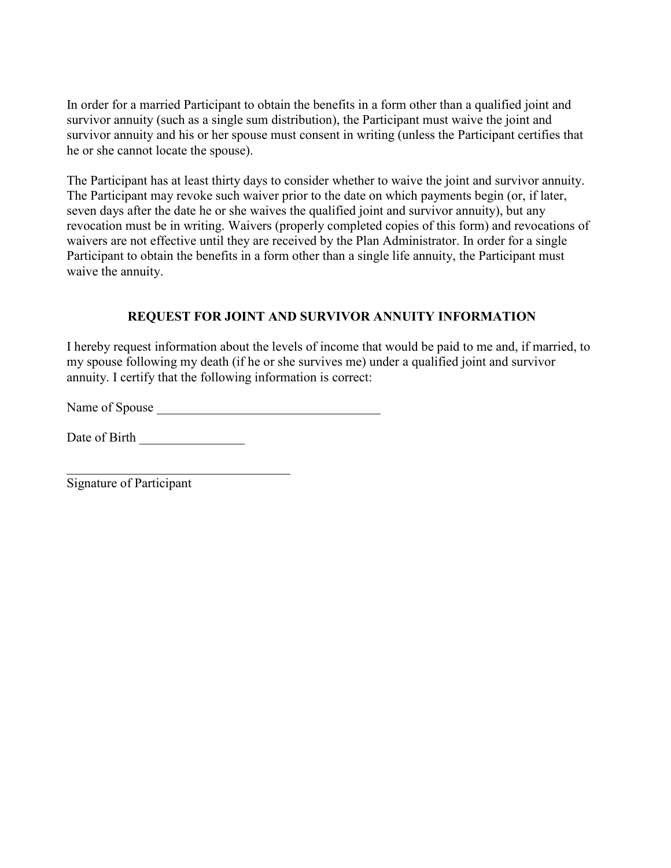In order for a married Participant to obtain the benefits in a form other than a qualified joint and survivor annuity (such as a single sum distribution), the Participant must waive the joint and survivor annuity and his or her spouse must consent in writing (unless the Participant certifies that he or she cannot locate the spouse).

The Participant has at least thirty days to consider whether to waive the joint and survivor annuity. The Participant may revoke such waiver prior to the date on which payments begin (or, if later, seven days after the date he or she waives the qualified joint and survivor annuity), but any revocation must be in writing. Waivers (properly completed copies of this form) and revocations of waivers are not effective until they are received by the Plan Administrator. In order for a single Participant to obtain the benefits in a form other than a single life annuity, the Participant must waive the annuity.

# **REQUEST FOR JOINT AND SURVIVOR ANNUITY INFORMATION**

I hereby request information about the levels of income that would be paid to me and, if married, to my spouse following my death (if he or she survives me) under a qualified joint and survivor annuity. I certify that the following information is correct:

Name of Spouse \_\_\_\_\_\_\_\_\_\_\_\_\_\_\_\_\_\_\_\_\_\_\_\_\_\_\_\_\_\_\_\_\_\_

Date of Birth \_\_\_\_\_\_\_\_\_\_\_\_\_\_\_\_

\_\_\_\_\_\_\_\_\_\_\_\_\_\_\_\_\_\_\_\_\_\_\_\_\_\_\_\_\_\_\_\_\_\_ Signature of Participant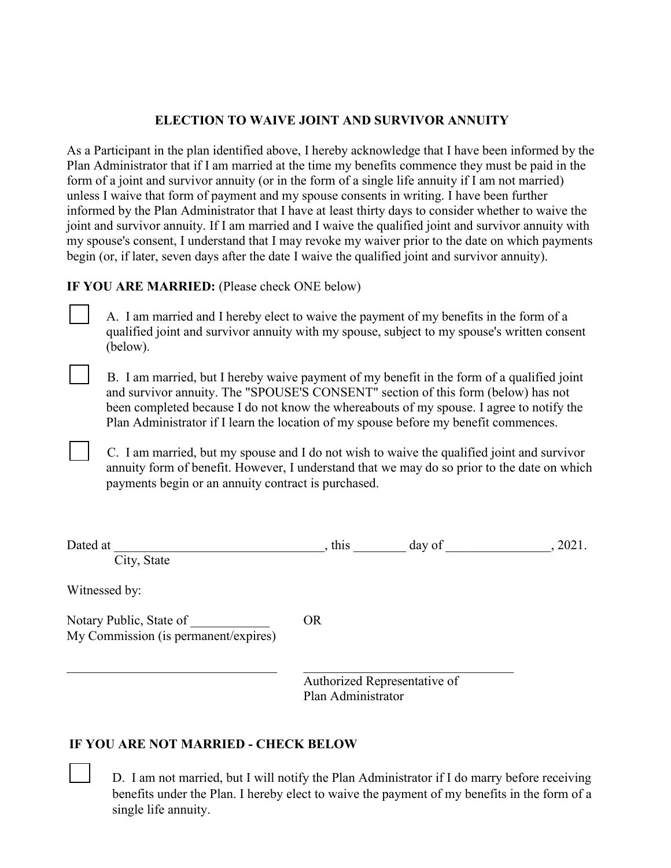## **ELECTION TO WAIVE JOINT AND SURVIVOR ANNUITY**

As a Participant in the plan identified above, I hereby acknowledge that I have been informed by the Plan Administrator that if I am married at the time my benefits commence they must be paid in the form of a joint and survivor annuity (or in the form of a single life annuity if I am not married) unless I waive that form of payment and my spouse consents in writing. I have been further informed by the Plan Administrator that I have at least thirty days to consider whether to waive the joint and survivor annuity. If I am married and I waive the qualified joint and survivor annuity with my spouse's consent, I understand that I may revoke my waiver prior to the date on which payments begin (or, if later, seven days after the date I waive the qualified joint and survivor annuity).

## **IF YOU ARE MARRIED:** (Please check ONE below)

A. I am married and I hereby elect to waive the payment of my benefits in the form of a qualified joint and survivor annuity with my spouse, subject to my spouse's written consent (below).

B. I am married, but I hereby waive payment of my benefit in the form of a qualified joint and survivor annuity. The "SPOUSE'S CONSENT" section of this form (below) has not been completed because I do not know the whereabouts of my spouse. I agree to notify the Plan Administrator if I learn the location of my spouse before my benefit commences.

C. I am married, but my spouse and I do not wish to waive the qualified joint and survivor annuity form of benefit. However, I understand that we may do so prior to the date on which payments begin or an annuity contract is purchased.

| Dated at<br>City, State                                         | , this             | day of                       | , 2021. |
|-----------------------------------------------------------------|--------------------|------------------------------|---------|
| Witnessed by:                                                   |                    |                              |         |
| Notary Public, State of<br>My Commission (is permanent/expires) | <b>OR</b>          |                              |         |
|                                                                 | Plan Administrator | Authorized Representative of |         |

# **IF YOU ARE NOT MARRIED - CHECK BELOW**

D. I am not married, but I will notify the Plan Administrator if I do marry before receiving benefits under the Plan. I hereby elect to waive the payment of my benefits in the form of a single life annuity.